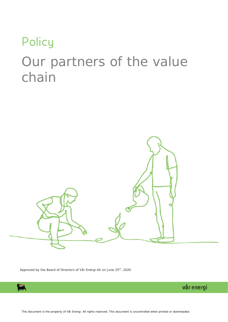# **Policy** Our partners of the value chain



Approved by the Board of Directors of Vår Energi AS on June 25<sup>th</sup>, 2020



vår energi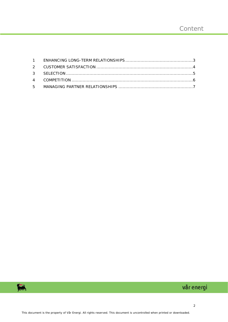

## vår energi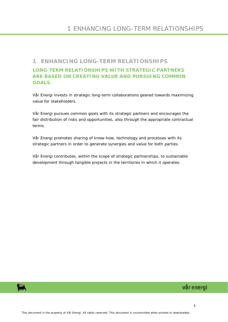#### <span id="page-2-0"></span>**1 ENHANCING LONG-TERM RELATIONSHIPS**

#### **LONG-TERM RELATIONSHIPS WITH STRATEGIC PARTNERS ARE BASED ON CREATING VALUE AND PURSUING COMMON GOALS.**

Vår Energi invests in strategic long-term collaborations geared towards maximizing value for stakeholders.

Vår Energi pursues common goals with its strategic partners and encourages the fair distribution of risks and opportunities, also through the appropriate contractual terms.

Vår Energi promotes sharing of know-how, technology and processes with its strategic partners in order to generate synergies and value for both parties.

Vår Energi contributes, within the scope of strategic partnerships, to sustainable development through tangible projects in the territories in which it operates.

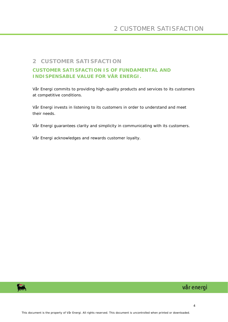#### <span id="page-3-0"></span>**2 CUSTOMER SATISFACTION**

#### **CUSTOMER SATISFACTION IS OF FUNDAMENTAL AND INDISPENSABLE VALUE FOR VÅR ENERGI.**

Vår Energi commits to providing high-quality products and services to its customers at competitive conditions.

Vår Energi invests in listening to its customers in order to understand and meet their needs.

Vår Energi guarantees clarity and simplicity in communicating with its customers.

Vår Energi acknowledges and rewards customer loyalty.

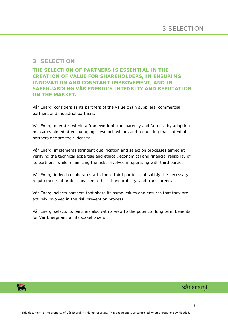#### <span id="page-4-0"></span>**3 SELECTION**

**THE SELECTION OF PARTNERS IS ESSENTIAL IN THE CREATION OF VALUE FOR SHAREHOLDERS, IN ENSURING INNOVATION AND CONSTANT IMPROVEMENT, AND IN SAFEGUARDING VÅR ENERGI'S INTEGRITY AND REPUTATION ON THE MARKET.**

Vår Energi considers as its partners of the value chain suppliers, commercial partners and industrial partners.

Vår Energi operates within a framework of transparency and fairness by adopting measures aimed at encouraging these behaviours and requesting that potential partners declare their identity.

Vår Energi implements stringent qualification and selection processes aimed at verifying the technical expertise and ethical, economical and financial reliability of its partners, while minimizing the risks involved in operating with third parties.

Vår Energi indeed collaborates with those third parties that satisfy the necessary requirements of professionalism, ethics, honourability, and transparency.

Vår Energi selects partners that share its same values and ensures that they are actively involved in the risk prevention process.

Vår Energi selects its partners also with a view to the potential long term benefits for Vår Energi and all its stakeholders.



### vår energi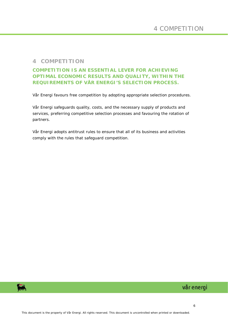#### <span id="page-5-0"></span>**4 COMPETITION**

#### **COMPETITION IS AN ESSENTIAL LEVER FOR ACHIEVING OPTIMAL ECONOMIC RESULTS AND QUALITY, WITHIN THE REQUIREMENTS OF VÅR ENERGI'S SELECTION PROCESS.**

Vår Energi favours free competition by adopting appropriate selection procedures.

Vår Energi safeguards quality, costs, and the necessary supply of products and services, preferring competitive selection processes and favouring the rotation of partners.

Vår Energi adopts antitrust rules to ensure that all of its business and activities comply with the rules that safeguard competition.